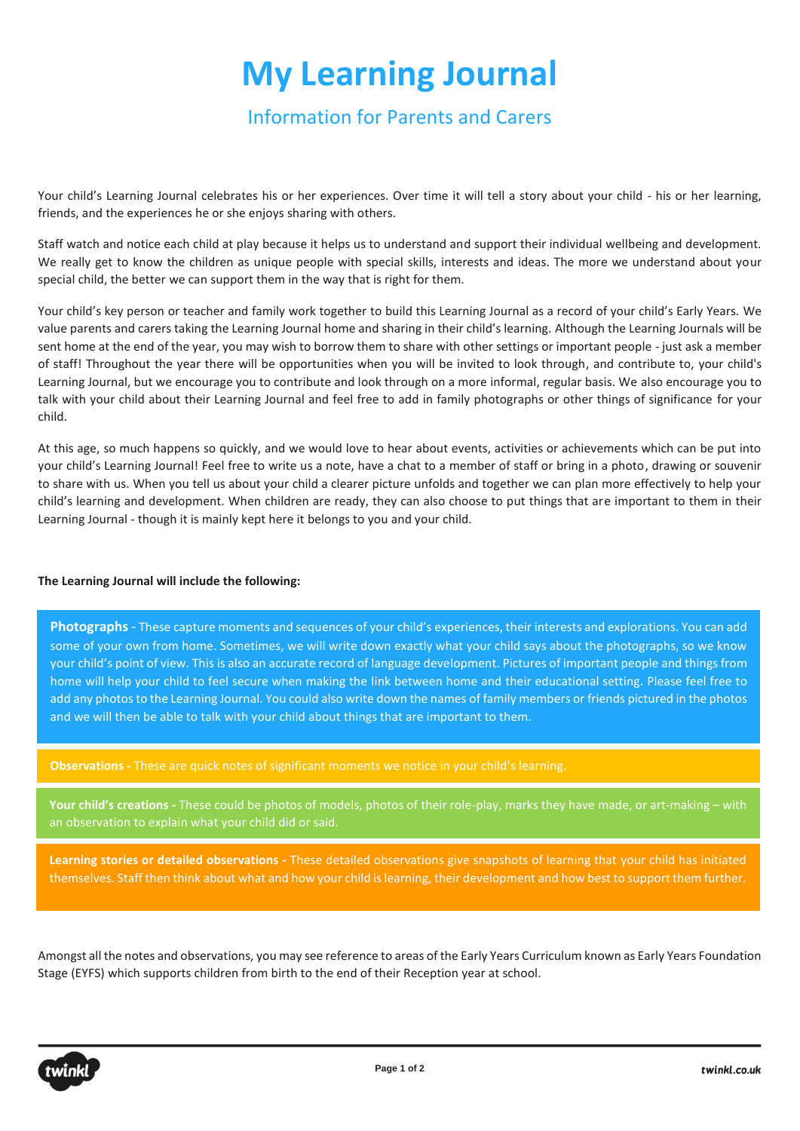# **My Learning Journal**

## Information for Parents and Carers

Your child's Learning Journal celebrates his or her experiences. Over time it will tell a story about your child - his or her learning, friends, and the experiences he or she enjoys sharing with others.

Staff watch and notice each child at play because it helps us to understand and support their individual wellbeing and development. We really get to know the children as unique people with special skills, interests and ideas. The more we understand about your special child, the better we can support them in the way that is right for them.

Your child's key person or teacher and family work together to build this Learning Journal as a record of your child's Early Years. We value parents and carers taking the Learning Journal home and sharing in their child's learning. Although the Learning Journals will be sent home at the end of the year, you may wish to borrow them to share with other settings or important people - just ask a member of staff! Throughout the year there will be opportunities when you will be invited to look through, and contribute to, your child's Learning Journal, but we encourage you to contribute and look through on a more informal, regular basis. We also encourage you to talk with your child about their Learning Journal and feel free to add in family photographs or other things of significance for your child.

At this age, so much happens so quickly, and we would love to hear about events, activities or achievements which can be put into your child's Learning Journal! Feel free to write us a note, have a chat to a member of staff or bring in a photo, drawing or souvenir to share with us. When you tell us about your child a clearer picture unfolds and together we can plan more effectively to help your child's learning and development. When children are ready, they can also choose to put things that are important to them in their Learning Journal - though it is mainly kept here it belongs to you and your child.

#### **The Learning Journal will include the following:**

**Photographs** - These capture moments and sequences of your child's experiences, their interests and explorations. You can add some of your own from home. Sometimes, we will write down exactly what your child says about the photographs, so we know your child's point of view. This is also an accurate record of language development. Pictures of important people and things from home will help your child to feel secure when making the link between home and their educational setting. Please feel free to add any photos to the Learning Journal. You could also write down the names of family members or friends pictured in the photos and we will then be able to talk with your child about things that are important to them.

**Observations -** These are quick notes of significant moments we notice in your child's learning.

**Your child's creations -** These could be photos of models, photos of their role-play, marks they have made, or art-making – with an observation to explain what your child did or said.

**Learning stories or detailed observations -** These detailed observations give snapshots of learning that your child has initiated themselves. Staff then think about what and how your child is learning, their development and how best to support them further.

Amongst all the notes and observations, you may see reference to areas of the Early Years Curriculum known as Early Years Foundation Stage (EYFS) which supports children from birth to the end of their Reception year at school.